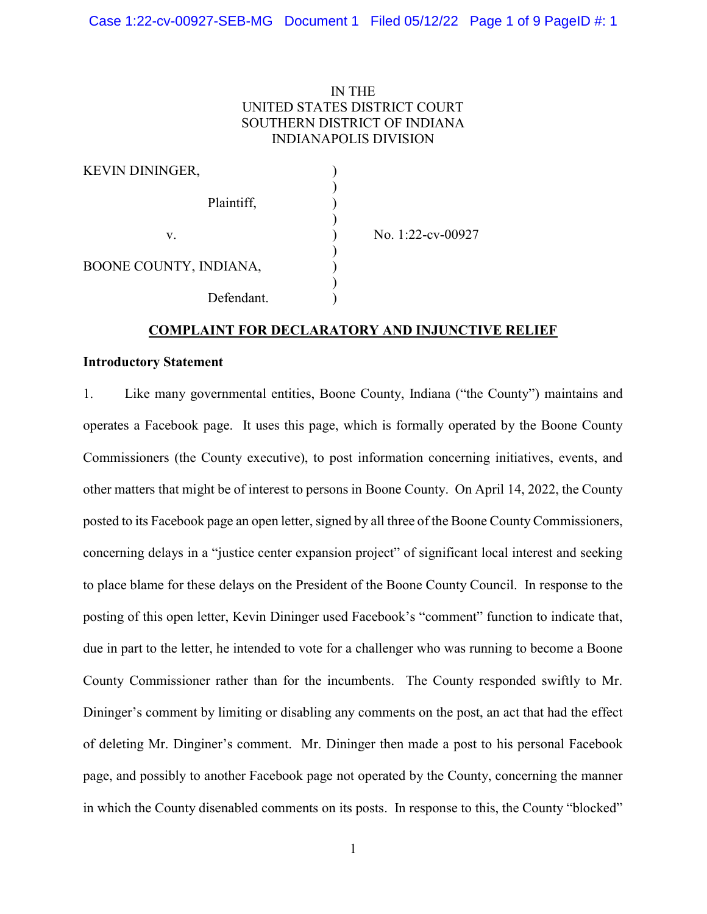# IN THE UNITED STATES DISTRICT COURT SOUTHERN DISTRICT OF INDIANA INDIANAPOLIS DIVISION

| <b>KEVIN DININGER,</b> |                   |
|------------------------|-------------------|
| Plaintiff,             |                   |
| v.                     | No. 1:22-cv-00927 |
| BOONE COUNTY, INDIANA, |                   |
| Defendant.             |                   |

## COMPLAINT FOR DECLARATORY AND INJUNCTIVE RELIEF

#### Introductory Statement

1. Like many governmental entities, Boone County, Indiana ("the County") maintains and operates a Facebook page. It uses this page, which is formally operated by the Boone County Commissioners (the County executive), to post information concerning initiatives, events, and other matters that might be of interest to persons in Boone County. On April 14, 2022, the County posted to its Facebook page an open letter, signed by all three of the Boone County Commissioners, concerning delays in a "justice center expansion project" of significant local interest and seeking to place blame for these delays on the President of the Boone County Council. In response to the posting of this open letter, Kevin Dininger used Facebook's "comment" function to indicate that, due in part to the letter, he intended to vote for a challenger who was running to become a Boone County Commissioner rather than for the incumbents. The County responded swiftly to Mr. Dininger's comment by limiting or disabling any comments on the post, an act that had the effect of deleting Mr. Dinginer's comment. Mr. Dininger then made a post to his personal Facebook page, and possibly to another Facebook page not operated by the County, concerning the manner in which the County disenabled comments on its posts. In response to this, the County "blocked"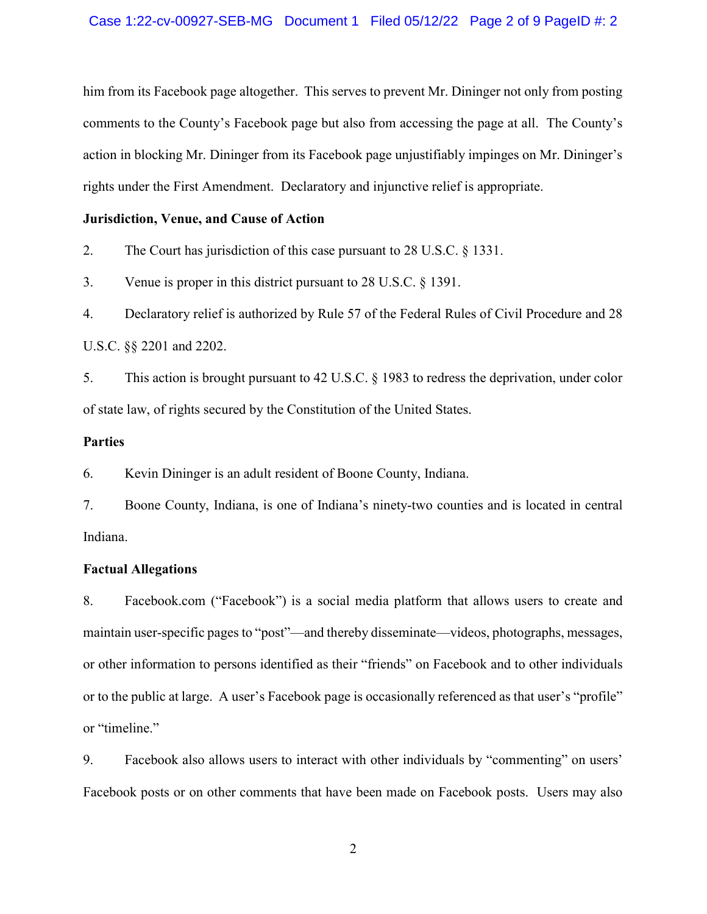him from its Facebook page altogether. This serves to prevent Mr. Dininger not only from posting comments to the County's Facebook page but also from accessing the page at all. The County's action in blocking Mr. Dininger from its Facebook page unjustifiably impinges on Mr. Dininger's rights under the First Amendment. Declaratory and injunctive relief is appropriate.

### Jurisdiction, Venue, and Cause of Action

2. The Court has jurisdiction of this case pursuant to 28 U.S.C. § 1331.

3. Venue is proper in this district pursuant to 28 U.S.C. § 1391.

4. Declaratory relief is authorized by Rule 57 of the Federal Rules of Civil Procedure and 28 U.S.C. §§ 2201 and 2202.

5. This action is brought pursuant to 42 U.S.C. § 1983 to redress the deprivation, under color of state law, of rights secured by the Constitution of the United States.

## Parties

6. Kevin Dininger is an adult resident of Boone County, Indiana.

7. Boone County, Indiana, is one of Indiana's ninety-two counties and is located in central Indiana.

### Factual Allegations

8. Facebook.com ("Facebook") is a social media platform that allows users to create and maintain user-specific pages to "post"—and thereby disseminate—videos, photographs, messages, or other information to persons identified as their "friends" on Facebook and to other individuals or to the public at large. A user's Facebook page is occasionally referenced as that user's "profile" or "timeline."

9. Facebook also allows users to interact with other individuals by "commenting" on users' Facebook posts or on other comments that have been made on Facebook posts. Users may also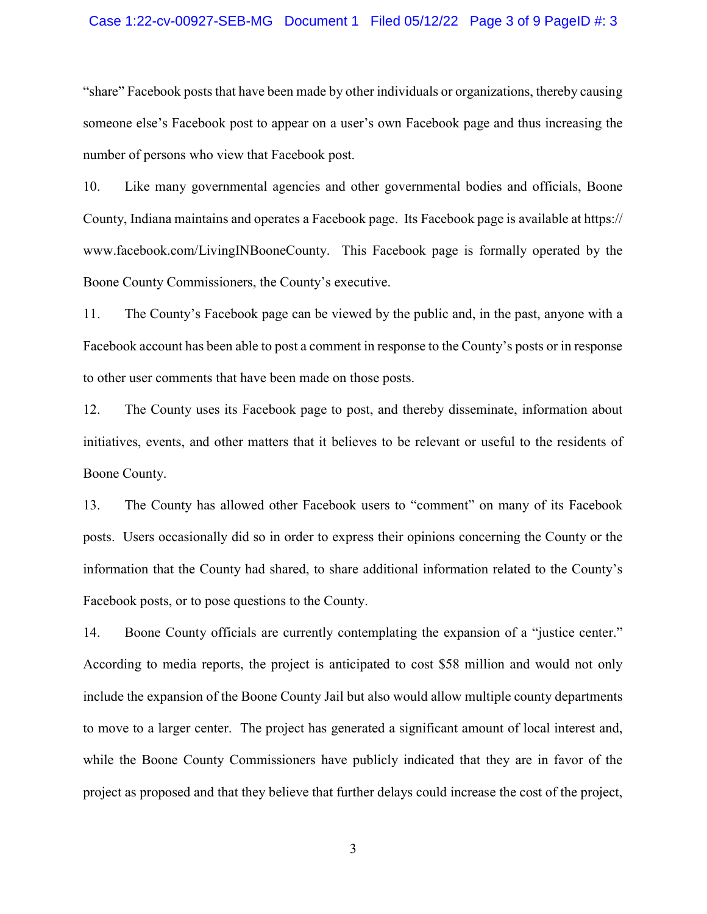#### Case 1:22-cv-00927-SEB-MG Document 1 Filed 05/12/22 Page 3 of 9 PageID #: 3

"share" Facebook posts that have been made by other individuals or organizations, thereby causing someone else's Facebook post to appear on a user's own Facebook page and thus increasing the number of persons who view that Facebook post.

10. Like many governmental agencies and other governmental bodies and officials, Boone County, Indiana maintains and operates a Facebook page. Its Facebook page is available at https:// www.facebook.com/LivingINBooneCounty. This Facebook page is formally operated by the Boone County Commissioners, the County's executive.

11. The County's Facebook page can be viewed by the public and, in the past, anyone with a Facebook account has been able to post a comment in response to the County's posts or in response to other user comments that have been made on those posts.

12. The County uses its Facebook page to post, and thereby disseminate, information about initiatives, events, and other matters that it believes to be relevant or useful to the residents of Boone County.

13. The County has allowed other Facebook users to "comment" on many of its Facebook posts. Users occasionally did so in order to express their opinions concerning the County or the information that the County had shared, to share additional information related to the County's Facebook posts, or to pose questions to the County.

14. Boone County officials are currently contemplating the expansion of a "justice center." According to media reports, the project is anticipated to cost \$58 million and would not only include the expansion of the Boone County Jail but also would allow multiple county departments to move to a larger center. The project has generated a significant amount of local interest and, while the Boone County Commissioners have publicly indicated that they are in favor of the project as proposed and that they believe that further delays could increase the cost of the project,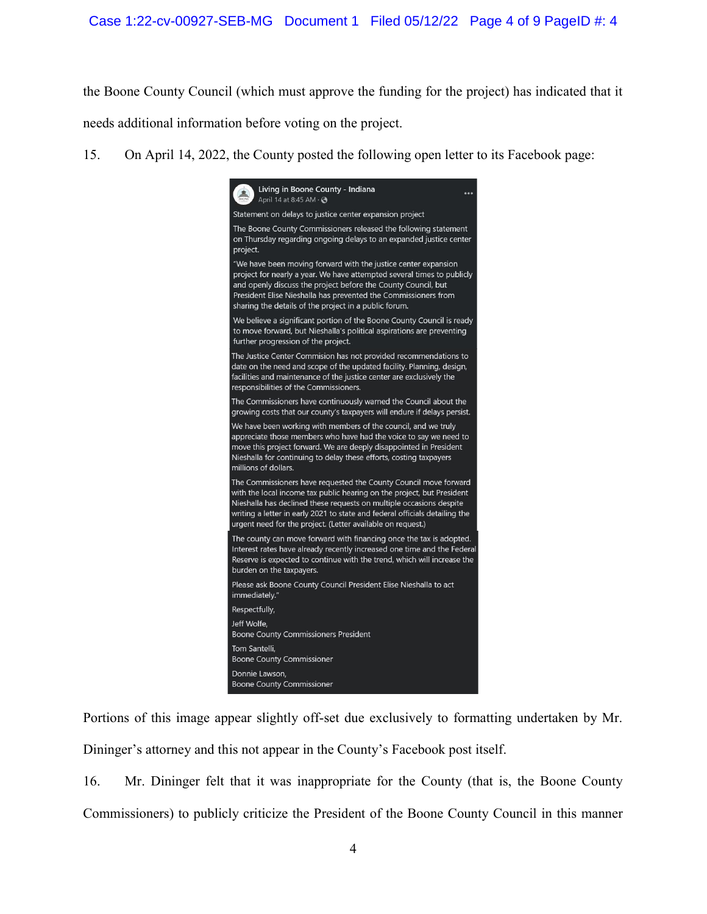the Boone County Council (which must approve the funding for the project) has indicated that it needs additional information before voting on the project.

15. On April 14, 2022, the County posted the following open letter to its Facebook page:



Portions of this image appear slightly off-set due exclusively to formatting undertaken by Mr. Dininger's attorney and this not appear in the County's Facebook post itself.

16. Mr. Dininger felt that it was inappropriate for the County (that is, the Boone County Commissioners) to publicly criticize the President of the Boone County Council in this manner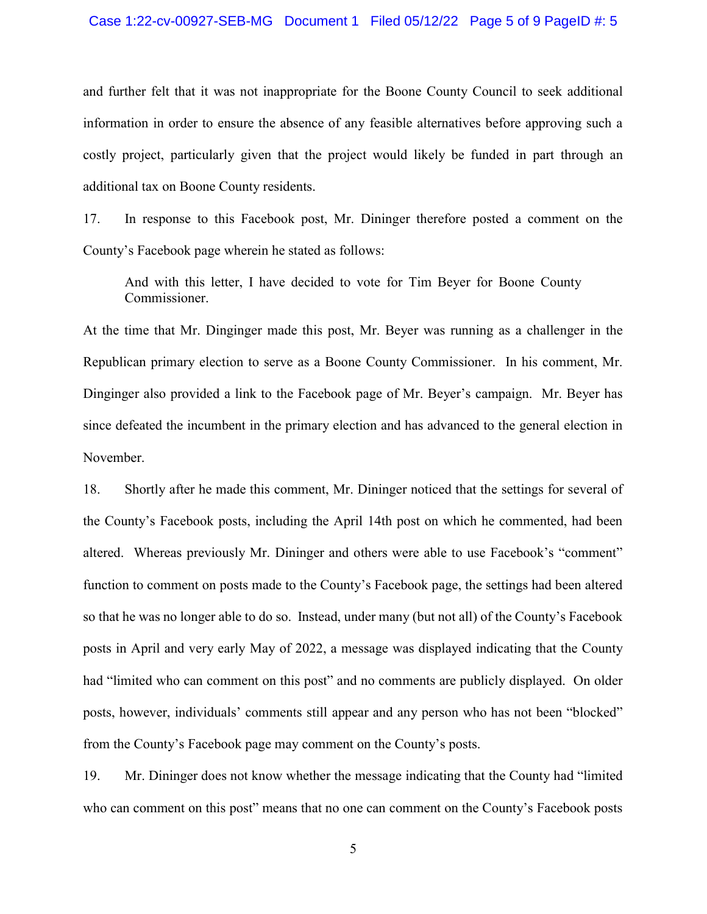#### Case 1:22-cv-00927-SEB-MG Document 1 Filed 05/12/22 Page 5 of 9 PageID #: 5

and further felt that it was not inappropriate for the Boone County Council to seek additional information in order to ensure the absence of any feasible alternatives before approving such a costly project, particularly given that the project would likely be funded in part through an additional tax on Boone County residents.

17. In response to this Facebook post, Mr. Dininger therefore posted a comment on the County's Facebook page wherein he stated as follows:

And with this letter, I have decided to vote for Tim Beyer for Boone County Commissioner.

At the time that Mr. Dinginger made this post, Mr. Beyer was running as a challenger in the Republican primary election to serve as a Boone County Commissioner. In his comment, Mr. Dinginger also provided a link to the Facebook page of Mr. Beyer's campaign. Mr. Beyer has since defeated the incumbent in the primary election and has advanced to the general election in November.

18. Shortly after he made this comment, Mr. Dininger noticed that the settings for several of the County's Facebook posts, including the April 14th post on which he commented, had been altered. Whereas previously Mr. Dininger and others were able to use Facebook's "comment" function to comment on posts made to the County's Facebook page, the settings had been altered so that he was no longer able to do so. Instead, under many (but not all) of the County's Facebook posts in April and very early May of 2022, a message was displayed indicating that the County had "limited who can comment on this post" and no comments are publicly displayed. On older posts, however, individuals' comments still appear and any person who has not been "blocked" from the County's Facebook page may comment on the County's posts.

19. Mr. Dininger does not know whether the message indicating that the County had "limited who can comment on this post" means that no one can comment on the County's Facebook posts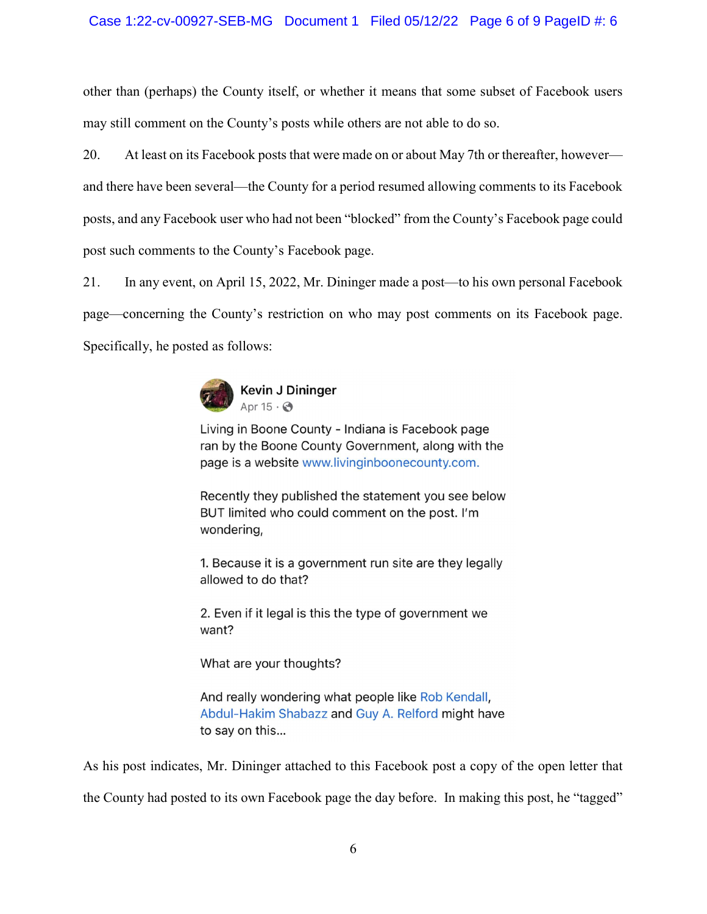# Case 1:22-cv-00927-SEB-MG Document 1 Filed 05/12/22 Page 6 of 9 PageID #: 6

other than (perhaps) the County itself, or whether it means that some subset of Facebook users may still comment on the County's posts while others are not able to do so.

20. At least on its Facebook posts that were made on or about May 7th or thereafter, however and there have been several—the County for a period resumed allowing comments to its Facebook posts, and any Facebook user who had not been "blocked" from the County's Facebook page could post such comments to the County's Facebook page.

21. In any event, on April 15, 2022, Mr. Dininger made a post—to his own personal Facebook page—concerning the County's restriction on who may post comments on its Facebook page. Specifically, he posted as follows:



Living in Boone County - Indiana is Facebook page ran by the Boone County Government, along with the page is a website www.livinginboonecounty.com.

Recently they published the statement you see below BUT limited who could comment on the post. I'm wondering,

1. Because it is a government run site are they legally allowed to do that?

2. Even if it legal is this the type of government we want?

What are your thoughts?

And really wondering what people like Rob Kendall, Abdul-Hakim Shabazz and Guy A. Relford might have to say on this...

As his post indicates, Mr. Dininger attached to this Facebook post a copy of the open letter that the County had posted to its own Facebook page the day before. In making this post, he "tagged"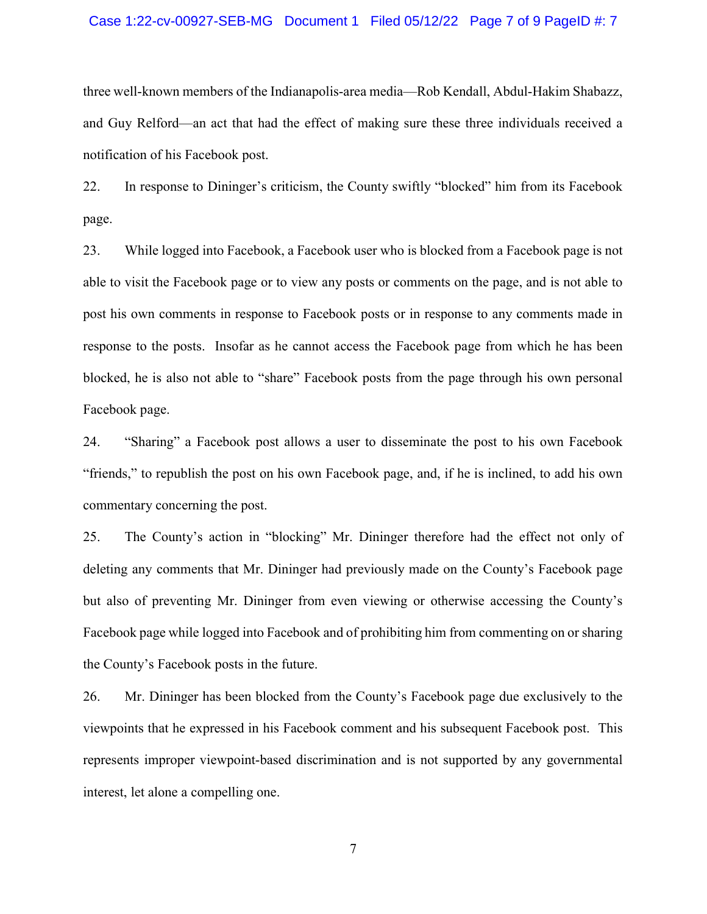#### Case 1:22-cv-00927-SEB-MG Document 1 Filed 05/12/22 Page 7 of 9 PageID #: 7

three well-known members of the Indianapolis-area media—Rob Kendall, Abdul-Hakim Shabazz, and Guy Relford—an act that had the effect of making sure these three individuals received a notification of his Facebook post.

22. In response to Dininger's criticism, the County swiftly "blocked" him from its Facebook page.

23. While logged into Facebook, a Facebook user who is blocked from a Facebook page is not able to visit the Facebook page or to view any posts or comments on the page, and is not able to post his own comments in response to Facebook posts or in response to any comments made in response to the posts. Insofar as he cannot access the Facebook page from which he has been blocked, he is also not able to "share" Facebook posts from the page through his own personal Facebook page.

24. "Sharing" a Facebook post allows a user to disseminate the post to his own Facebook "friends," to republish the post on his own Facebook page, and, if he is inclined, to add his own commentary concerning the post.

25. The County's action in "blocking" Mr. Dininger therefore had the effect not only of deleting any comments that Mr. Dininger had previously made on the County's Facebook page but also of preventing Mr. Dininger from even viewing or otherwise accessing the County's Facebook page while logged into Facebook and of prohibiting him from commenting on or sharing the County's Facebook posts in the future.

26. Mr. Dininger has been blocked from the County's Facebook page due exclusively to the viewpoints that he expressed in his Facebook comment and his subsequent Facebook post. This represents improper viewpoint-based discrimination and is not supported by any governmental interest, let alone a compelling one.

7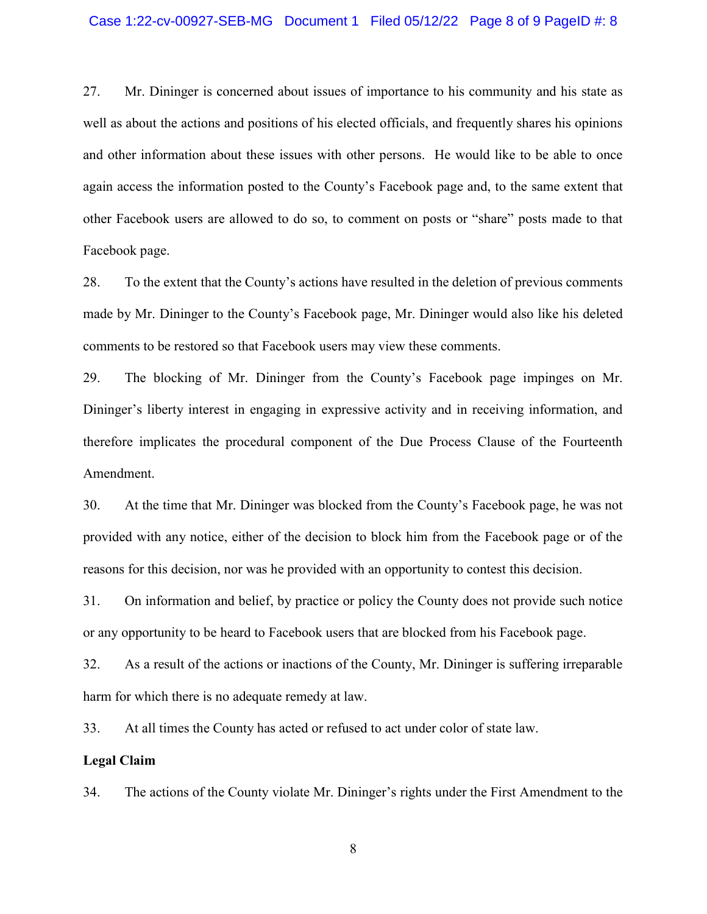#### Case 1:22-cv-00927-SEB-MG Document 1 Filed 05/12/22 Page 8 of 9 PageID #: 8

27. Mr. Dininger is concerned about issues of importance to his community and his state as well as about the actions and positions of his elected officials, and frequently shares his opinions and other information about these issues with other persons. He would like to be able to once again access the information posted to the County's Facebook page and, to the same extent that other Facebook users are allowed to do so, to comment on posts or "share" posts made to that Facebook page.

28. To the extent that the County's actions have resulted in the deletion of previous comments made by Mr. Dininger to the County's Facebook page, Mr. Dininger would also like his deleted comments to be restored so that Facebook users may view these comments.

29. The blocking of Mr. Dininger from the County's Facebook page impinges on Mr. Dininger's liberty interest in engaging in expressive activity and in receiving information, and therefore implicates the procedural component of the Due Process Clause of the Fourteenth Amendment.

30. At the time that Mr. Dininger was blocked from the County's Facebook page, he was not provided with any notice, either of the decision to block him from the Facebook page or of the reasons for this decision, nor was he provided with an opportunity to contest this decision.

31. On information and belief, by practice or policy the County does not provide such notice or any opportunity to be heard to Facebook users that are blocked from his Facebook page.

32. As a result of the actions or inactions of the County, Mr. Dininger is suffering irreparable harm for which there is no adequate remedy at law.

33. At all times the County has acted or refused to act under color of state law.

#### Legal Claim

34. The actions of the County violate Mr. Dininger's rights under the First Amendment to the

8